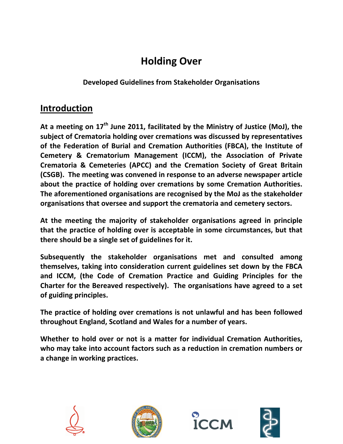## **Holding!Over**

**Developed Guidelines from Stakeholder Organisations** 

## **Introduction**

At a meeting on 17<sup>th</sup> June 2011, facilitated by the Ministry of Justice (MoJ), the subject of Crematoria holding over cremations was discussed by representatives of the Federation of Burial and Cremation Authorities (FBCA), the Institute of **Cemetery & Crematorium Management (ICCM), the Association of Private Crematoria & Cemeteries (APCC) and the Cremation Society of Great Britain (CSGB). The meeting was convened in response to an adverse newspaper article** about the practice of holding over cremations by some Cremation Authorities. The aforementioned organisations are recognised by the MoJ as the stakeholder **organisations that oversee and support the crematoria and cemetery sectors.** 

At the meeting the majority of stakeholder organisations agreed in principle that the practice of holding over is acceptable in some circumstances, but that **there should be a single set of guidelines for it.** 

Subsequently the stakeholder organisations met and consulted among themselves, taking into consideration current guidelines set down by the FBCA and ICCM, (the Code of Cremation Practice and Guiding Principles for the **Charter for the Bereaved respectively). The organisations have agreed to a set of!guiding!principles.**

The practice of holding over cremations is not unlawful and has been followed throughout England, Scotland and Wales for a number of years.

Whether to hold over or not is a matter for individual Cremation Authorities, who may take into account factors such as a reduction in cremation numbers or a change in working practices.







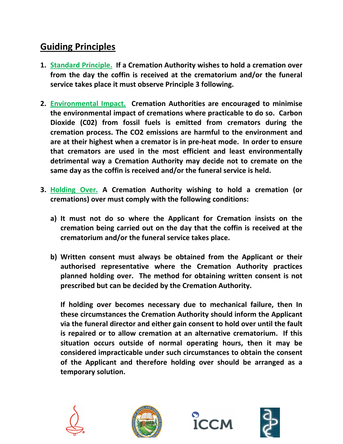## **Guiding Principles**

- **1. Standard Principle. If a Cremation Authority wishes to hold a cremation over** from the day the coffin is received at the crematorium and/or the funeral service takes place it must observe Principle 3 following.
- 2. **Environmental Impact.** Cremation Authorities are encouraged to minimise the environmental impact of cremations where practicable to do so. Carbon Dioxide (C02) from fossil fuels is emitted from cremators during the cremation process. The CO2 emissions are harmful to the environment and are at their highest when a cremator is in pre-heat mode. In order to ensure that cremators are used in the most efficient and least environmentally detrimental way a Cremation Authority may decide not to cremate on the same day as the coffin is received and/or the funeral service is held.
- **3. Holding Over. A Cremation Authority wishing to hold a cremation (or** cremations) over must comply with the following conditions:
	- a) It must not do so where the Applicant for Cremation insists on the cremation being carried out on the day that the coffin is received at the crematorium and/or the funeral service takes place.
	- **b)** Written consent must always be obtained from the Applicant or their **authorised! representative! where! the! Cremation! Authority! practices!** planned holding over. The method for obtaining written consent is not prescribed but can be decided by the Cremation Authority.

**If holding over becomes necessary due to mechanical failure, then In** these circumstances the Cremation Authority should inform the Applicant via the funeral director and either gain consent to hold over until the fault **is repaired or to allow cremation at an alternative crematorium. If this situation! occurs! outside! of! normal! operating! hours,! then! it! may! be!** considered impracticable under such circumstances to obtain the consent of the Applicant and therefore holding over should be arranged as a **temporary!solution.!**